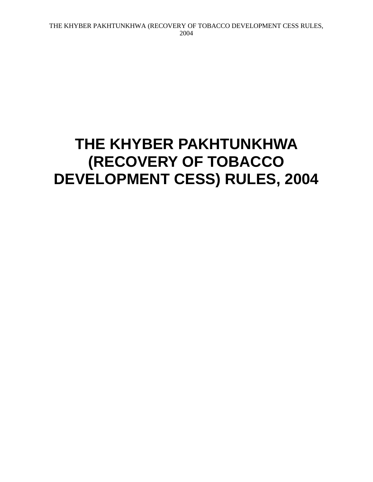# **THE KHYBER PAKHTUNKHWA (RECOVERY OF TOBACCO DEVELOPMENT CESS) RULES, 2004**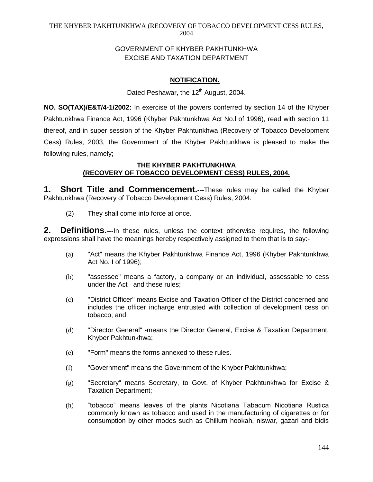# GOVERNMENT OF KHYBER PAKHTUNKHWA EXCISE AND TAXATION DEPARTMENT

# **NOTIFICATION.**

Dated Peshawar, the 12<sup>th</sup> August, 2004.

**NO. SO(TAX)/E&T/4-1/2002:** In exercise of the powers conferred by section 14 of the Khyber Pakhtunkhwa Finance Act, 1996 (Khyber Pakhtunkhwa Act No.l of 1996), read with section 11 thereof, and in super session of the Khyber Pakhtunkhwa (Recovery of Tobacco Development Cess) Rules, 2003, the Government of the Khyber Pakhtunkhwa is pleased to make the following rules, namely;

## **THE KHYBER PAKHTUNKHWA (RECOVERY OF TOBACCO DEVELOPMENT CESS) RULES, 2004.**

**1. Short Title and Commencement.---**These rules may be called the Khyber Pakhtunkhwa (Recovery of Tobacco Development Cess) Rules, 2004.

(2) They shall come into force at once.

**2. Definitions.---**In these rules, unless the context otherwise requires, the following expressions shall have the meanings hereby respectively assigned to them that is to say:-

- (a) "Act" means the Khyber Pakhtunkhwa Finance Act, 1996 (Khyber Pakhtunkhwa Act No. I of 1996);
- (b) "assessee" means a factory, a company or an individual, assessable to cess under the Act and these rules;
- (c) "District Officer" means Excise and Taxation Officer of the District concerned and includes the officer incharge entrusted with collection of development cess on tobacco; and
- (d) "Director General" -means the Director General, Excise & Taxation Department, Khyber Pakhtunkhwa;
- (e) "Form" means the forms annexed to these rules.
- (f) "Government" means the Government of the Khyber Pakhtunkhwa;
- (g) "Secretary" means Secretary, to Govt. of Khyber Pakhtunkhwa for Excise & Taxation Department;
- (h) "tobacco" means leaves of the plants Nicotiana Tabacum Nicotiana Rustica commonly known as tobacco and used in the manufacturing of cigarettes or for consumption by other modes such as Chillum hookah, niswar, gazari and bidis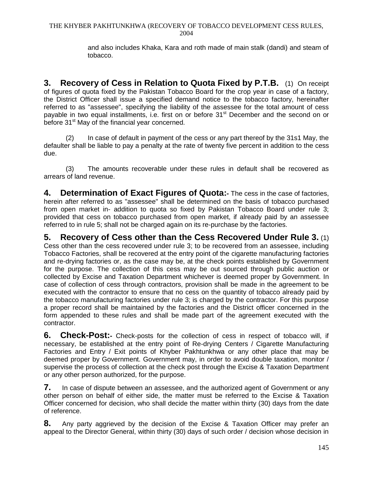and also includes Khaka, Kara and roth made of main stalk (dandi) and steam of tobacco.

**3. Recovery of Cess in Relation to Quota Fixed by P.T.B.** (1) On receipt of figures of quota fixed by the Pakistan Tobacco Board for the crop year in case of a factory, the District Officer shall issue a specified demand notice to the tobacco factory, hereinafter referred to as "assessee", specifying the liability of the assessee for the total amount of cess payable in two equal installments, i.e. first on or before 31<sup>st</sup> December and the second on or before 31<sup>st</sup> May of the financial year concerned.

(2) In case of default in payment of the cess or any part thereof by the 31s1 May, the defaulter shall be liable to pay a penalty at the rate of twenty five percent in addition to the cess due.

(3) The amounts recoverable under these rules in default shall be recovered as arrears of land revenue.

**4. Determination of Exact Figures of Quota:-** The cess in the case of factories, herein after referred to as "assessee" shall be determined on the basis of tobacco purchased from open market in- addition to quota so fixed by Pakistan Tobacco Board under rule 3; provided that cess on tobacco purchased from open market, if already paid by an assessee referred to in rule 5; shall not be charged again on its re-purchase by the factories.

**5. Recovery of Cess other than the Cess Recovered Under Rule 3.** (1) Cess other than the cess recovered under rule 3; to be recovered from an assessee, including Tobacco Factories, shall be recovered at the entry point of the cigarette manufacturing factories and re-drying factories or, as the case may be, at the check points established by Government for the purpose. The collection of this cess may be out sourced through public auction or collected by Excise and Taxation Department whichever is deemed proper by Government. In case of collection of cess through contractors, provision shall be made in the agreement to be executed with the contractor to ensure that no cess on the quantity of tobacco already paid by the tobacco manufacturing factories under rule 3; is charged by the contractor. For this purpose a proper record shall be maintained by the factories and the District officer concerned in the form appended to these rules and shall be made part of the agreement executed with the contractor.

**6. Check-Post:-** Check-posts for the collection of cess in respect of tobacco will, if necessary, be established at the entry point of Re-drying Centers / Cigarette Manufacturing Factories and Entry / Exit points of Khyber Pakhtunkhwa or any other place that may be deemed proper by Government. Government may, in order to avoid double taxation, monitor / supervise the process of collection at the check post through the Excise & Taxation Department or any other person authorized, for the purpose.

**7.** In case of dispute between an assessee, and the authorized agent of Government or any other person on behalf of either side, the matter must be referred to the Excise & Taxation Officer concerned for decision, who shall decide the matter within thirty (30) days from the date of reference.

**8.** Any party aggrieved by the decision of the Excise & Taxation Officer may prefer an appeal to the Director General, within thirty (30) days of such order / decision whose decision in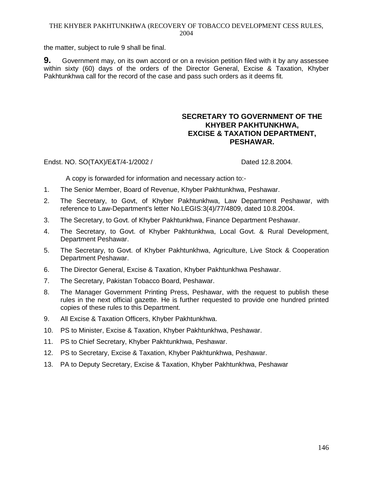#### THE KHYBER PAKHTUNKHWA (RECOVERY OF TOBACCO DEVELOPMENT CESS RULES, 2004

the matter, subject to rule 9 shall be final.

**9.** Government may, on its own accord or on a revision petition filed with it by any assessee within sixty (60) days of the orders of the Director General, Excise & Taxation, Khyber Pakhtunkhwa call for the record of the case and pass such orders as it deems fit.

# **SECRETARY TO GOVERNMENT OF THE KHYBER PAKHTUNKHWA, EXCISE & TAXATION DEPARTMENT, PESHAWAR.**

## Endst. NO. SO(TAX)/E&T/4-1/2002 / Dated 12.8.2004.

A copy is forwarded for information and necessary action to:-

- 1. The Senior Member, Board of Revenue, Khyber Pakhtunkhwa, Peshawar.
- 2. The Secretary, to Govt, of Khyber Pakhtunkhwa, Law Department Peshawar, with reference to Law-Department's letter No.LEGIS:3(4)/77/4809, dated 10.8.2004.
- 3. The Secretary, to Govt. of Khyber Pakhtunkhwa, Finance Department Peshawar.
- 4. The Secretary, to Govt. of Khyber Pakhtunkhwa, Local Govt. & Rural Development, Department Peshawar.
- 5. The Secretary, to Govt. of Khyber Pakhtunkhwa, Agriculture, Live Stock & Cooperation Department Peshawar.
- 6. The Director General, Excise & Taxation, Khyber Pakhtunkhwa Peshawar.
- 7. The Secretary, Pakistan Tobacco Board, Peshawar.
- 8. The Manager Government Printing Press, Peshawar, with the request to publish these rules in the next official gazette. He is further requested to provide one hundred printed copies of these rules to this Department.
- 9. All Excise & Taxation Officers, Khyber Pakhtunkhwa.
- 10. PS to Minister, Excise & Taxation, Khyber Pakhtunkhwa, Peshawar.
- 11. PS to Chief Secretary, Khyber Pakhtunkhwa, Peshawar.
- 12. PS to Secretary, Excise & Taxation, Khyber Pakhtunkhwa, Peshawar.
- 13. PA to Deputy Secretary, Excise & Taxation, Khyber Pakhtunkhwa, Peshawar